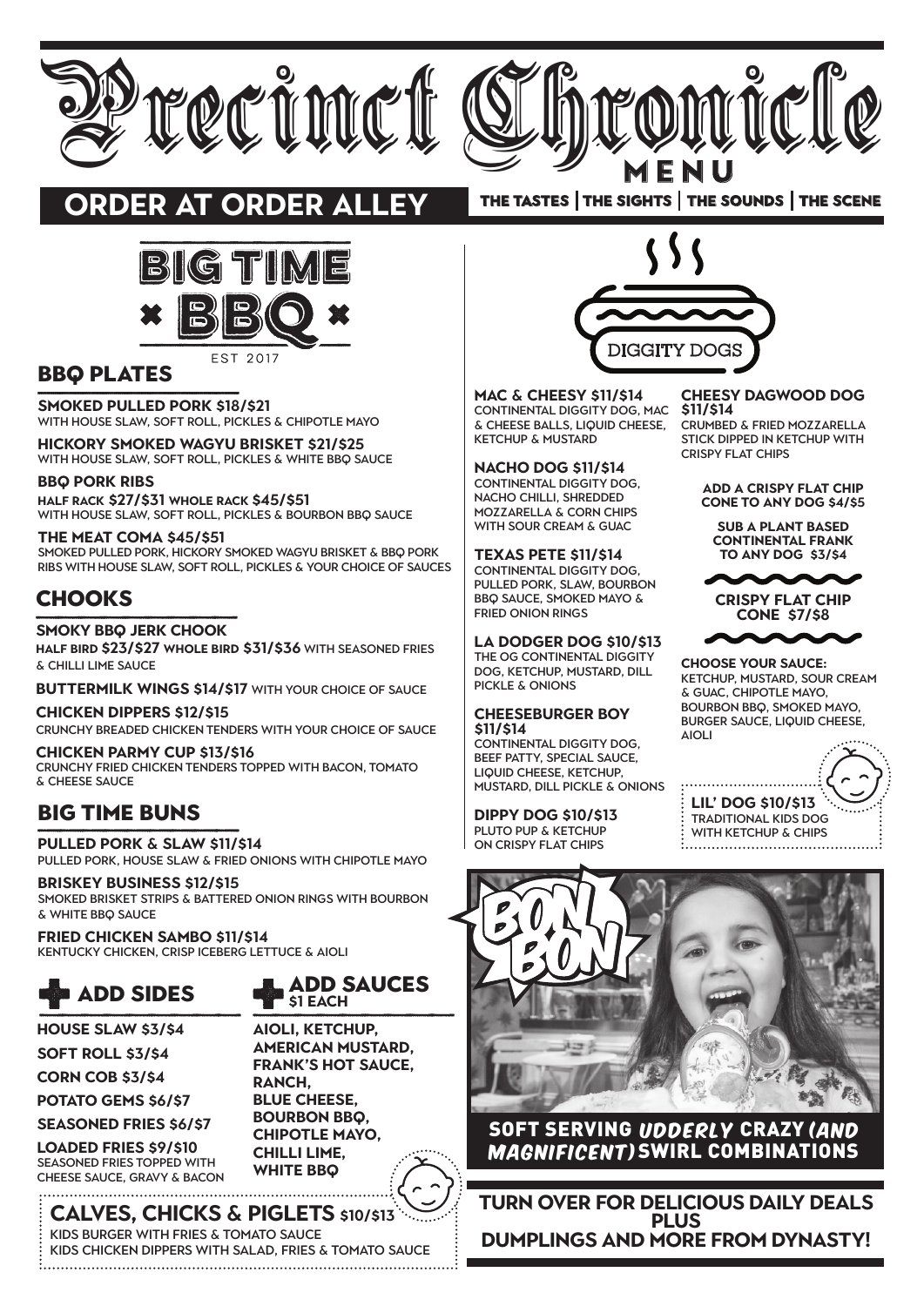# **Cheesy Dagwood dog**

Crumbed & fried Mozzarella stick dipped in ketchup with **CRISPY FLAT CHIPS** 

**Add a crispy flat chip cone to any dog \$4/\$5**

**Sub a plant based continental frank to any dog \$3/\$4**



**Crispy Flat Chip Cone \$7/\$8**

**Choose your Sauce:**  Ketchup, Mustard, Sour Cream & Guac, Chipotle Mayo, Bourbon BBQ, Smoked MAYO, BURGER SAUCE, LIQUID CHEESE, aioli

**\$11/\$14** Continental Diggity Dog, mac **Mac & Cheesy \$11/\$14** & cheese balls, liquid cheese, ketchup & mustard





# **order at ORDER ALLEY**



**Calves, Chicks & Piglets \$10/\$13** Kids Burger with fries & tomato sauce Kids Chicken Dippers with salad, fries & tomato sauce



### SOFT SERVING UDDERLY CRAZY (and magnificent)SWIRL COMBINATIONS

CONTINENTAL DIGGITY DOG, beef patty, special sauce, liquid cheese, ketchup, mustard, dill pickle & onions

> **Lil' Dog \$10/\$13** Traditional kids dog WITH KETCHUP & CHIPS

**Nacho Dog \$11/\$14** CONTINENTAL DIGGITY DOG, nacho chilLi, shredded mozzarella & corn chips with sour cream & Guac

**Smoked Pulled Pork \$18/\$21** WITH HOUSE SLAW, SOFT ROLL, PICKLES & CHIPOTLE MAYO

> **Texas Pete \$11/\$14** CONTINENTAL DIGGITY DOG, pulled pork, slaw, bourbon BBQ sauce, smoked MAYO & fried onion rings

**Half Rack \$27/\$31 Whole Rack \$45/\$51** WITH HOUSE SLAW, SOFT ROLL, PICKLES & BOURBON BBQ SAUCE

> **LA Dodger Dog \$10/\$13** THE OG CONTINENTAL DIGGITY Dog, ketchup, mustard, dill pickle & onions

#### **Cheeseburger Boy \$11/\$14**

**Dippy Dog \$10/\$13** PLUTO PUP & KETCHUP on crispy flat chips

# Big time buns

**Pulled Pork & Slaw \$11/\$14**  Pulled pork, house slaw & fried onions with chipotle mayo

**Briskey Business \$12/\$15**  Smoked brisket strips & battered onion rings with bourbon & white BBQ sauce

**Fried Chicken Sambo \$11/\$14**  Kentucky chicken, crisp iceberg lettuce & aioli

# BBQ PLATES

**Hickory Smoked Wagyu Brisket \$21/\$25** with HOUSE slaw, soft roll, pickles & white BBQ sauce

#### **BBQ Pork Ribs**

**The Meat Coma \$45/\$51** Smoked Pulled Pork, Hickory Smoked WagYu Brisket & BBQ Pork Ribs with house slaw, soft roll, pickles & your choice of sauces

# **CHOOKS**

**Smoky BBQ Jerk Chook** 

**HALF Bird \$23/\$27 Whole Bird \$31/\$36** with seasoned fries & chilLi lime sauce

**Buttermilk Wings \$14/\$17** with your choice of sauce

**Chicken Dippers \$12/\$15**  Crunchy breaded chicken tenders with your choice of sauce

**Chicken Parmy Cup \$13/\$16**  Crunchy fried chicken tenders topped with bacon, tomato & cheese sauce



**House Slaw \$3/\$4 Soft Roll \$3/\$4**

**Corn Cob \$3/\$4**

**Potato Gems \$6/\$7 Seasoned Fries \$6/\$7**

**Loaded Fries \$9/\$10**  seasoned fries topped with cheese sauce, gravy & bacon

### **turn over for delicious daily deals PLUS dumplings and more from dyNasty!**

**Aioli, Ketchup, American Mustard, Frank's Hot Sauce, Ranch, Blue Cheese, Bourbon BBQ, Chipotle Mayo, Chilli Lime, White BBQ**



THE TASTES | THE SIGHTS | THE SOUNDS | THE SCENE



### **\$1 EACH**